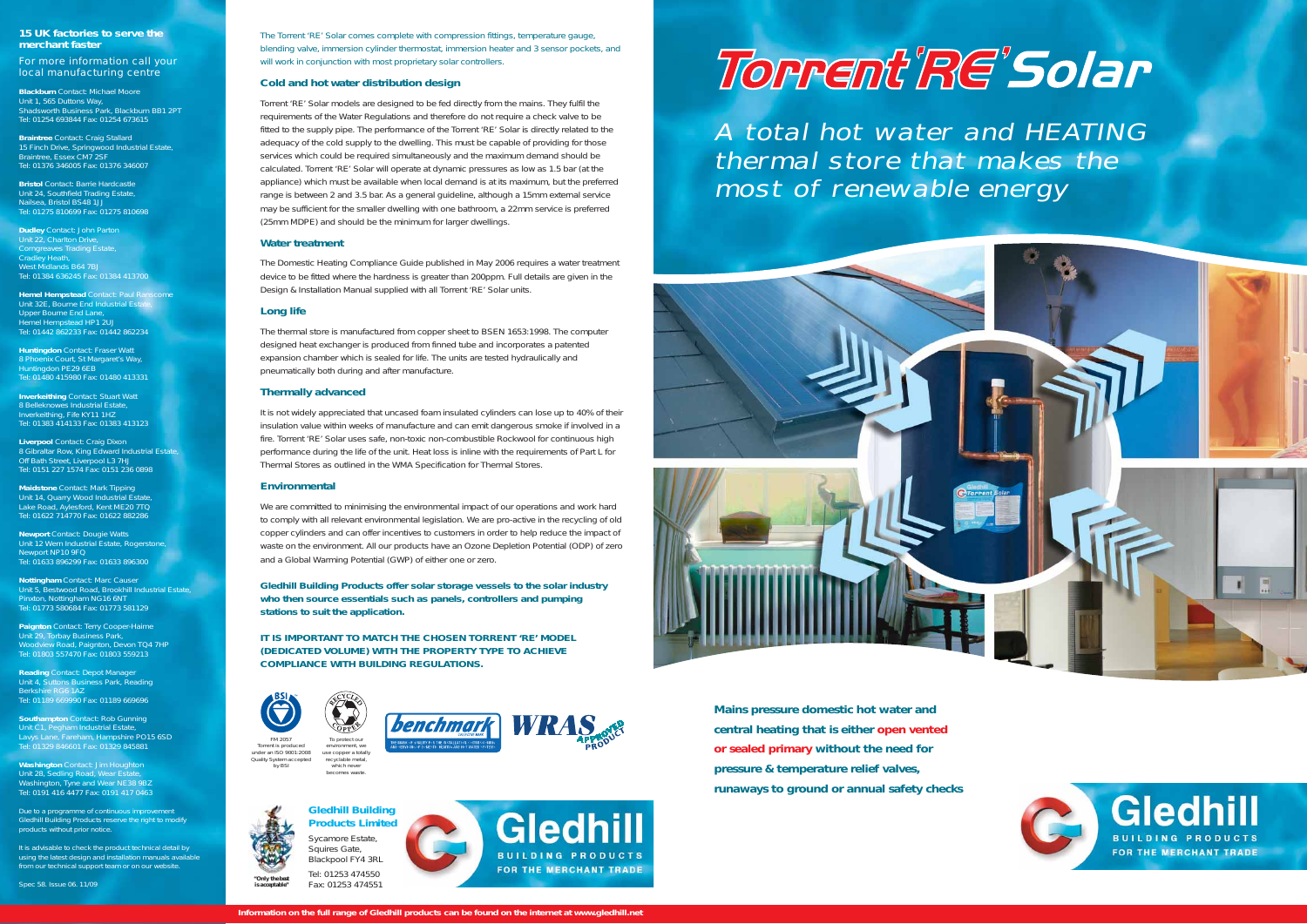**Mains pressure domestic hot water and central heating that is either open vented or sealed primary without the need for pressure & temperature relief valves, runaways to ground or annual safety checks**

The Torrent 'RE' Solar comes complete with compression fittings, temperature gauge, blending valve, immersion cylinder thermostat, immersion heater and 3 sensor pockets, and will work in conjunction with most proprietary solar controllers.

### **Cold and hot water distribution design**

Torrent 'RE' Solar models are designed to be fed directly from the mains. They fulfil the requirements of the Water Regulations and therefore do not require a check valve to be fitted to the supply pipe. The performance of the Torrent 'RE' Solar is directly related to the adequacy of the cold supply to the dwelling. This must be capable of providing for those services which could be required simultaneously and the maximum demand should be calculated. Torrent 'RE' Solar will operate at dynamic pressures as low as 1.5 bar (at the appliance) which must be available when local demand is at its maximum, but the preferred range is between 2 and 3.5 bar. As a general guideline, although a 15mm external service may be sufficient for the smaller dwelling with one bathroom, a 22mm service is preferred (25mm MDPE) and should be the minimum for larger dwellings.

### **Water treatment**

The Domestic Heating Compliance Guide published in May 2006 requires a water treatment device to be fitted where the hardness is greater than 200ppm. Full details are given in the Design & Installation Manual supplied with all Torrent 'RE' Solar units.

### **Long life**

The thermal store is manufactured from copper sheet to BSEN 1653:1998. The computer designed heat exchanger is produced from finned tube and incorporates a patented expansion chamber which is sealed for life. The units are tested hydraulically and pneumatically both during and after manufacture.

### **Thermally advanced**

**Hemel Hempstead Contact: Paul Ran** Unit 32E, Bourne End Industrial Estate, Upper Bourne End Lane, Hemel Hempstead HP1 2UJ Tel: 01442 862233 Fax: 01442 862234

> It is not widely appreciated that uncased foam insulated cylinders can lose up to 40% of their insulation value within weeks of manufacture and can emit dangerous smoke if involved in a fire. Torrent 'RE' Solar uses safe, non-toxic non-combustible Rockwool for continuous high performance during the life of the unit. Heat loss is inline with the requirements of Part L for Thermal Stores as outlined in the WMA Specification for Thermal Stores.

### **Environmental**

We are committed to minimising the environmental impact of our operations and work hard to comply with all relevant environmental legislation. We are pro-active in the recycling of old copper cylinders and can offer incentives to customers in order to help reduce the impact of waste on the environment. All our products have an Ozone Depletion Potential (ODP) of zero and a Global Warming Potential (GWP) of either one or zero.

Due to a programme of continuous improvement Gledhill Building Products reserve the right to modify products without prior notice.

It is advisable to check the product technical detail by using the latest design and installation manuals available from our technical support team or on our website.

**Gledhill Building Products offer solar storage vessels to the solar industry who then source essentials such as panels, controllers and pumping stations to suit the application.**

**IT IS IMPORTANT TO MATCH THE CHOSEN TORRENT 'RE' MODEL(DEDICATED VOLUME) WITH THE PROPERTY TYPE TO ACHIEVE COMPLIANCE WITH BUILDING REGULATIONS.**

### **15 UK factories to serve the merchant faster**

*For more information call your local manufacturing centre*

**Blackburn** Contact: Michael MooreUnit 1, 565 Duttons Way, Shadsworth Business Park, Blackburn BB1 2PT Tel: 01254 693844 Fax: 01254 673615

**Braintree** Contact: Craig Stallard 15 Finch Drive, Springwood Industrial Estate, Braintree, Essex CM7 2SF Tel: 01376 346005 Fax: 01376 346007

**Bristol** Contact: Barrie Hardcastle Unit 24, Southfield Trading Estate, Nailsea, Bristol BS48 1JJ Tel: 01275 810699 Fax: 01275 810698

**Dudley** Contact: John Parton Unit 22, Charlton Dr Corngreaves Trading Estate, Cradley Heath, West Midlands B64 7BJ Tel: 01384 636245 Fax: 01384 413700

**Huntingdon** Contact: Fraser Watt 8 Phoenix Court, St Margaret's Way, ingdon PE29 6EB Tel: 01480 415980 Fax: 01480 413331

**Inverkeithing** Contact: Stuart Watt 8 Belleknowes Industrial Estate, Inverkeithing, Fife KY11 1HZ Tel: 01383 414133 Fax: 01383 413123

**Liverpool** Contact: Craig Dixon 8 Gibraltar Row, King Edward Industrial Estate, Off Bath Street, Liverpool L3 7HJ Tel: 0151 227 1574 Fax: 0151 236 0898

**Maidstone** Contact: Mark Tipping Unit 14, Quarry Wood Industrial Estate, Lake Road, Aylesford, Kent ME20 7TQ Tel: 01622 714770 Fax: 01622 882286

**Newport** Contact: Dougie Watts Unit 12 Wern Industrial Estate, Rogerstone Newport NP10 9FQ Tel: 01633 896299 Fax: 01633 896300

**Nottingham** Contact: Marc Causer Unit 5, Bestwood Road, Brookhill Industrial Estate, Pinxton, Nottingham NG16 6NT Tel: 01773 580684 Fax: 01773 581129

**Paignton** Contact: Terry Cooper-Haime Unit 29, Torbay Business Park, Woodview Road, Paignton, Devon TQ4 7HP Tel: 01803 557470 Fax: 01803 559213

**Reading** Contact: Depot Manager Unit 4, Suttons Business Park, Reading Berkshire RG6 1AZ Tel: 01189 669990 Fax: 01189 669696

**Southampton** Contact: Rob Gunning Unit C1, Pegham Industrial Estate, Lavys Lane, Fareham, Hampshire PO15 6SD Tel: 01329 846601 Fax: 01329 845881

**Washington** Contact: Jim Houghton Unit 28, Sedling Road, Wear Estate, Washington, Tyne and Wear NE38 9BZ Tel: 0191 416 4477 Fax: 0191 417 0463

Spec 58. Issue 06. 11/09



Squires Gate, Blackpool FY4 3RL Tel: 01253 474550Fax: 01253 474551 *"Only the best is acceptable"*





A total hot water and HEATING thermal store that makes the most of renewable energy





*becomes waste.*